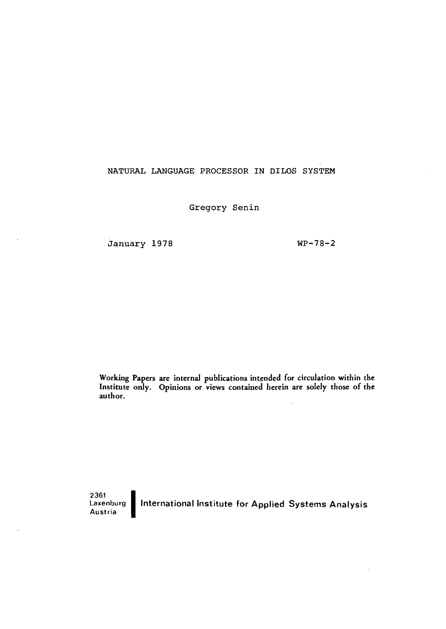# NATURAL LANGUAGE PROCESSOR IN DILOS SYSTEM

Gregory Senin

January 1978 WP-78-2

Working Papers are internal publications intended for circulation within the Institute only. Opinions or views contained herein are solely those of the author. l.

2361<br>Laxenburg **International Institute for Applied Systems Analysis** Austria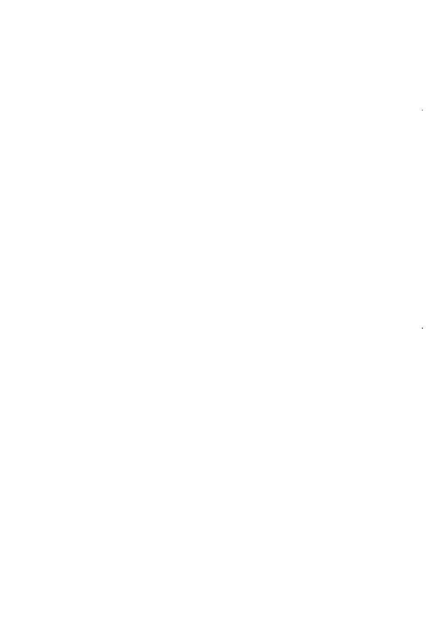$\epsilon$  $\star$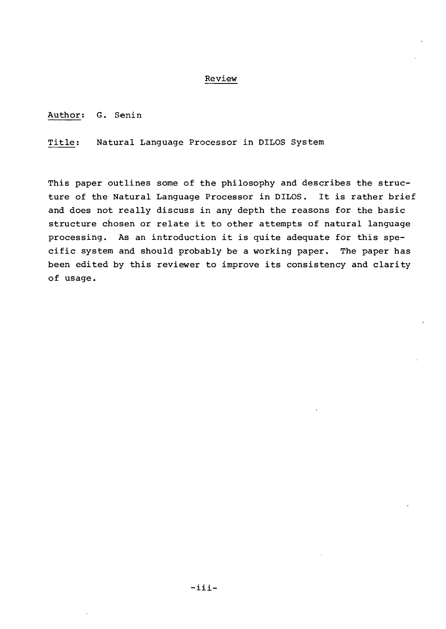# Review

Author: G. Senin

Title: Natural Language Processor in DILOS System

This paper outlines some of the philosophy and describes the structure of the Natural Language Processor in DILOS. It is rather brief and does not really discuss in any depth the reasons for the basic structure chosen or relate it to other attempts of natural language processing. As an introduction it is quite adequate for this specific system and should probably be <sup>a</sup> working paper. The paper has been edited by this reviewer to improve its consistency and clarity of usage.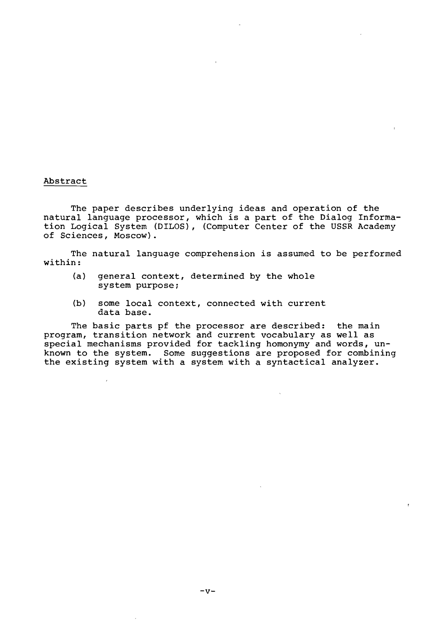#### Abstract

The paper describes underlying ideas and operation of the natural language processor, which is <sup>a</sup> part of the Dialog Information Logical System (DILOS), (Computer Center of the USSR Academy of Sciences, Moscow).

The natural language comprehension is assumed to be performed within:

- (a) general context, determined by the whole system purpose;
- (b) some local context, connected with current data base.

The basic parts pf the processor are described: the main program, transition network and current vocabulary as well as special mechanisms provided for tackling homonymy and words, unknown to the system. Some suggestions are proposed for combining the existing system with a system with a syntactical analyzer.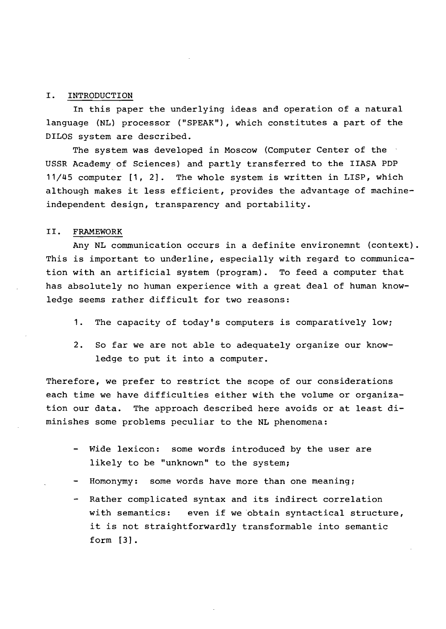#### I. INTRODUCTION

In this paper the underlying ideas and operation of <sup>a</sup> natural language (NL) processor ("SPEAK"), which constitutes a part of the DILOS system are described.

The system was developed in Moscow (Computer Center of the USSR Academy of Sciences) and partly transferred to the IIASA PDP 11/45 computer [1, 2]. The whole system is written in LISP, which although makes it less efficient, provides the advantage of machineindependent design, transparency and portability.

#### II. FRAMEWORK

Any NL communication occurs in a definite environemnt (context). This is important to underline, especially with regard to communication with an artificial system (program). To feed <sup>a</sup> computer that has absolutely no human experience with a great deal of human knowledge seems rather difficult for two reasons:

- 1. The capacity of today's computers is comparatively low;
- 2. So far we are not able to adequately organize our knowledge to put it into <sup>a</sup> computer.

Therefore, we prefer to restrict the scope of our considerations each time we have difficulties either with the volume or organization our data. The approach described here avoids or at least diminishes some problems peculiar to the NL phenomena:

- Wide lexicon: some words introduced by the user are likely to be "unknown" to the system;
- Homonymy: some words have more than one meaning;
- Rather complicated syntax and its indirect correlation with semantics: even if we obtain syntactical structure, it is not straightforwardly transformable into semantic form [3].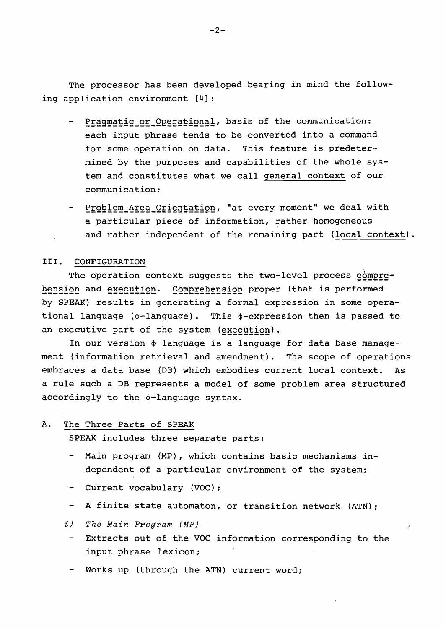The processor has been developed bearing in mind 'the following application environment [4]:

- Pragmatic or Operational, basis of the communication: each input phrase tends to be converted into a command for some operation on data. This feature is predetermined by the purposes and capabilities of the whole system and constitutes what we call general context of our communication;
- Problem Area Orientation, "at every moment" we deal with a particular piece of information, rather homogeneous and rather independent of the remaining part (local context).

#### III. CONFIGURATION

The operation context suggests the two-level process comprehension and execution. Comprehension proper (that is performed by SPEAK) results in generating <sup>a</sup> formal expression in some operational language (¢-language). This ¢-expression then is passed to an executive part of the system (execution).

In our version  $\phi$ -language is a language for data base management (information retrieval and amendment). The scope of operations embraces a data base (DB) which embodies current local context. As a rule such a DB represents a model of some problem area structured accordingly to the ¢-language syntax.

A. The Three Parts of SPEAK

SPEAK includes three separate parts:

- Main program (MP), which contains basic mechanisms independent of a particular environment of the system;
- Current vocabulary (VOC);
- A finite state automaton, or transition network (ATN);
- *i) The Main Program (MP)*
- Extracts out of the VOC information corresponding to the input phrase lexicon;
- Works up (through the ATN) current word;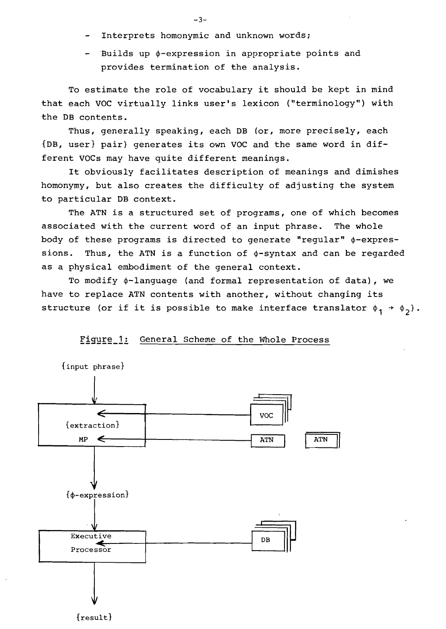- Interprets homonymic and unknown words;
- Builds up ¢-expression in appropriate points and provides termination of the analysis.

To estimate the role of vocabulary it should be kept in mind that each VOC virtually links user's lexicon ("terminology") with the DB contents.

Thus, generally speaking, each DB (or, more precisely, each  ${DB, user}$  pair) generates its own VOC and the same word in different VOCs may have quite different meanings.

It obviously facilitates description of meanings and dimishes homonymy, but also creates the difficulty of adjusting the system to particular DB context.

The ATN is <sup>a</sup> structured set of programs, one of which becomes associated with the current word of an input phrase. The whole body of these programs is directed to generate "regular" ¢-expressions. Thus, the ATN is a function of  $\phi$ -syntax and can be regarded as a physical embodiment of the general context.

To modify  $\phi$ -language (and formal representation of data), we have to replace ATN contents with another, without changing its structure (or if it is possible to make interface translator  $\phi_1$  +  $\phi_2$ ).



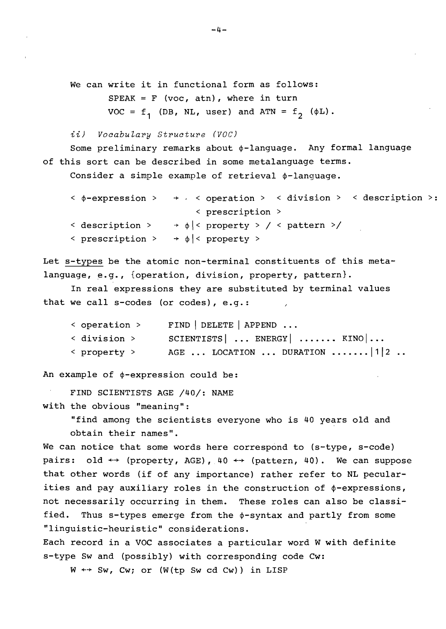```
We can write it in functional form as follows:
SPERK = F (voc, atm), where in turnVOC = f_1 (DB, NL, user) and ATN = f_2 (\phiL).
```
iiJ *Vocabulary Structure (VaC)*

Some preliminary remarks about  $\phi$ -language. Any formal language of this sort can be described in some metalanguage terms.

Consider a simple example of retrieval  $\phi$ -language.

| $\leq \phi$ -expression > $\rightarrow$ $\rightarrow$ $\leq$ operation > $\leq$ division > $\leq$ description >: |  |                                                   |  |  |  |
|------------------------------------------------------------------------------------------------------------------|--|---------------------------------------------------|--|--|--|
|                                                                                                                  |  | $\leq$ prescription $\geq$                        |  |  |  |
| < description >                                                                                                  |  | $\rightarrow$ $\phi$  < property > / < pattern >/ |  |  |  |
| $\leq$ prescription > $\rightarrow$ $\phi$  < property >                                                         |  |                                                   |  |  |  |

Let s-types be the atomic non-terminal constituents of this metalanguage, e.g., {operation, division, property, pattern}.

In real expressions they are substituted by terminal values that we call s-codes (or codes), e.g.:

| $\le$ operation $\ge$                     | FIND   DELETE   APPEND            |
|-------------------------------------------|-----------------------------------|
| $\triangleleft$ division $\triangleright$ | $SCIENTISTS    ENERGY     KNO   $ |
| < property >                              | AGE  LOCATION  DURATION $ 1 2$    |

An example of  $\phi$ -expression could be:

FIND SCIENTISTS AGE /40/: NAME

with the obvious "meaning":

"find among the scientists everyone who is <sup>40</sup> years old and obtain their names".

We can notice that some words here correspond to (s-type, s-code) pairs: old  $\leftrightarrow$  (property, AGE), 40  $\leftrightarrow$  (pattern, 40). We can suppose that other words (if of any importance) rather refer to NL pecularities and pay auxiliary roles in the construction of  $\phi$ -expressions, not necessarily occurring in them. These roles can also be classified. Thus s-types emerge from the ¢-syntax and partly from some "linguistic-heuristic" considerations.

Each record in <sup>a</sup> VOC associates <sup>a</sup> particular word <sup>W</sup> with definite s-type Sw and (possibly) with corresponding code Cw:

 $W \leftrightarrow Sw$ , Cw; or (W(tp Sw cd Cw)) in LISP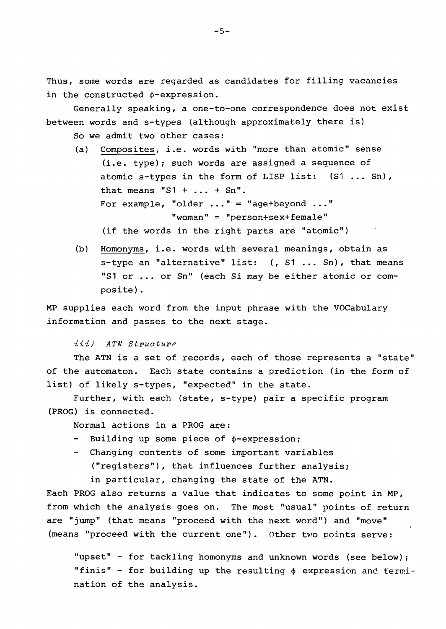Thus, some words are regarded as candidates for filling vacancies in the constructed  $\phi$ -expression.

Generally speaking, <sup>a</sup> one-to-one correspondence does not exist between words and s-types (although approximately there is)

So we admit two other cases:

" For example, "older ... " = "age+beyond (a) Composites, i.e. words with "more than atomic" sense (i.e. type); such words are assigned <sup>a</sup> sequence of atomic s-types in the form of LISP list:  $(S1 ... Sn)$ , that means  $"S1 + ... + Sn"$ . "woman" = "person+sex+female" (if the words in the right parts are "atomic")

(b) Homonyms, i.e. words with several meanings, obtain as s-type an "alternative" list: (, S1 ... Sn) , that means "S1 or ... or Sn" (each Si may be either atomic or composite) .

MP supplies each word from the input phrase with the VOCabulary information and passes to the next stage.

*iii) ATN Struaturp*

The ATN is <sup>a</sup> set of records, each of those represents <sup>a</sup> "state" of the automaton. Each state contains <sup>a</sup> prediction (in the form of list) of likely s-types, "expected" in the state.

Further, with each (state, s-type) pair <sup>a</sup> specific program (PROG) is connected.

Normal actions in a PROG are:

- $-$  Building up some piece of  $\phi$ -expression;
- Changing contents of some important variables ("registers"), that influences further analysis;

in particular, changing the state of the ATN. Each PROG also returns <sup>a</sup> value that indicates to some point in MP, from which the analysis goes on. The most "usual" points of return are "jump" (that means "proceed with the next word") and "move" (means "proceed with the current one"). Other two points serve:

"upset" - for tackling homonyms and unknown words (see below); "finis" - for building up the resulting  $\phi$  expression and termination of the analysis.

 $-5-$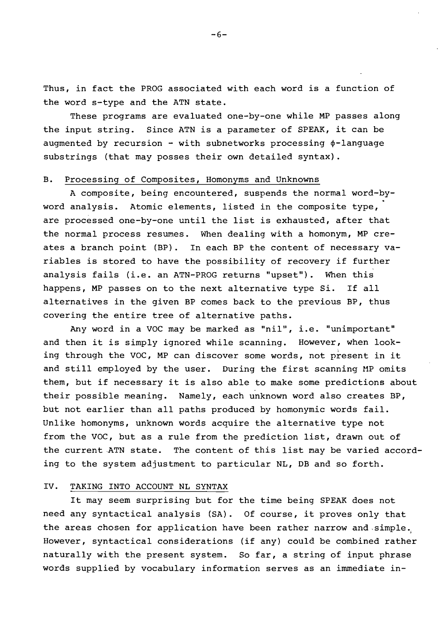Thus, in fact the PROG associated with each word is <sup>a</sup> function of the word s-type and the ATN state.

These programs are evaluated one-by-one while MP passes along the input string. Since ATN is <sup>a</sup> parameter of SPEAK, it can be augmented by recursion - with subnetworks processing  $\phi$ -language substrings (that may posses their own detailed syntax).

## B. Processing of Composites, Homonyms and Unknowns

A composite, being encountered, suspends the normal word-byword analysis. Atomic elements, listed in the composite type, are processed one-by-one until the list is exhausted, after that the normal process resumes. When dealing with a homonym, MP creates a branch point (BP). In each BP the content of necessary variables is stored to have the possibility of recovery if further analysis fails (i.e. an ATN-PROG returns "upset"). When this happens, MP passes on to the next alternative type Si. If all alternatives in the given BP comes back to the previous BP, thus covering the entire tree of alternative paths.

Any word in <sup>a</sup> VOC may be marked as "nil", i.e. "unimportant" and then it is simply ignored while scanning. However, when looking through the VOC, MP can discover some words, not present in it and still employed by the user. During the first scanning MP omits them, but if necessary it is also able to make some predictions about their possible meaning. Namely, each unknown word also creates BP, but not earlier than all paths produced by homonymic words fail. Unlike homonyms, unknown words acquire the alternative type not from the VOC, but as <sup>a</sup> rule from the prediction list, drawn out of the current ATN state. The content of this list may be varied according to the system adjustment to particular NL, DB and so forth.

#### IV. TAKING INTO ACCOUNT NL SYNTAX

It may seem surprising but for the time being SPEAK does not need any syntactical analysis (SA). Of course, it proves only that the areas chosen for application have been rather narrow and simple. However, syntactical considerations (if any) could be combined rather naturally with the present system. So far, <sup>a</sup> string of input phrase words supplied by vocabulary information serves as an immediate in-

-6-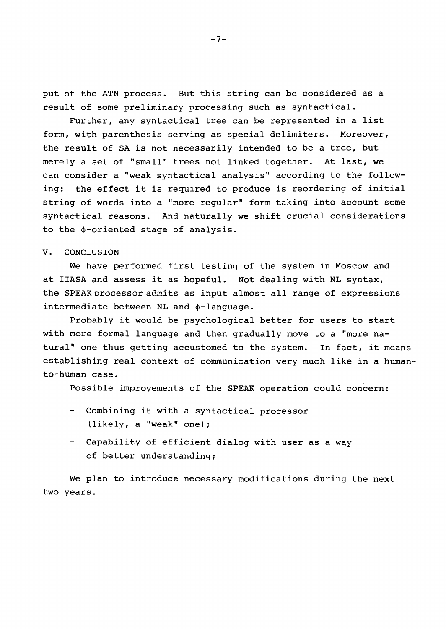put of the ATN process. But this string can be considered as <sup>a</sup> result of some preliminary processing such as syntactical.

Further, any syntactical tree can be represented in <sup>a</sup> list form, with parenthesis serving as special delimiters. Moreover, the result of SA is not necessarily intended to be <sup>a</sup> tree, but merely <sup>a</sup> set of "small" trees not linked together. At last, we can consider a "weak syntactical analysis" according to the following: the effect it is required to produce is reordering of initial string of words into a "more regular" form taking into account some syntactical reasons. And naturally we shift crucial considerations to the  $\phi$ -oriented stage of analysis.

### v. CONCLUSION

We have performed first testing of the system in Moscow and at IIASA and assess it as hopeful. Not dealing with NL syntax, the SPEAK processor admits as input almost all range of expressions intermediate between NL and  $\phi$ -language.

Probably it would be psychological better for users to start with more formal language and then gradually move to a "more natural" one thus getting accustomed to the system. In fact, it means establishing real context of communication very much like in <sup>a</sup> humanto-human case.

Possible improvements of the SPEAK operation could concern:

- Combining it with a syntactical processor (likely, a "weak" one);
- Capability of efficient dialog with user as <sup>a</sup> way of better understanding;

We plan to introduce necessary modifications during the next two years.